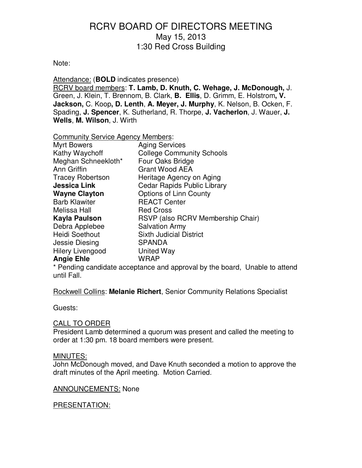#### Note:

Attendance: (**BOLD** indicates presence)

RCRV board members: **T. Lamb, D. Knuth, C. Wehage, J. McDonough,** J. Green, J. Klein, T. Brennom, B. Clark, **B. Ellis**, D. Grimm, E. Holstrom**, V. Jackson,** C. Koop**, D. Lenth**, **A. Meyer, J. Murphy**, K. Nelson, B. Ocken, F. Spading, **J. Spencer**, K. Sutherland, R. Thorpe, **J. Vacherlon**, J. Wauer, **J. Wells**, **M. Wilson**, J. Wirth

Community Service Agency Members:

| <b>Myrt Bowers</b>      | <b>Aging Services</b>              |
|-------------------------|------------------------------------|
| Kathy Waychoff          | <b>College Community Schools</b>   |
| Meghan Schneekloth*     | Four Oaks Bridge                   |
| Ann Griffin             | <b>Grant Wood AEA</b>              |
| <b>Tracey Robertson</b> | Heritage Agency on Aging           |
| <b>Jessica Link</b>     | <b>Cedar Rapids Public Library</b> |
| <b>Wayne Clayton</b>    | <b>Options of Linn County</b>      |
| <b>Barb Klawiter</b>    | <b>REACT Center</b>                |
| Melissa Hall            | <b>Red Cross</b>                   |
| Kayla Paulson           | RSVP (also RCRV Membership Chair)  |
| Debra Applebee          | <b>Salvation Army</b>              |
| <b>Heidi Soethout</b>   | <b>Sixth Judicial District</b>     |
| Jessie Diesing          | <b>SPANDA</b>                      |
| <b>Hilery Livengood</b> | United Way                         |
| <b>Angie Ehle</b>       | <b>WRAP</b>                        |

\* Pending candidate acceptance and approval by the board, Unable to attend until Fall.

Rockwell Collins: **Melanie Richert**, Senior Community Relations Specialist

Guests:

#### CALL TO ORDER

President Lamb determined a quorum was present and called the meeting to order at 1:30 pm. 18 board members were present.

#### MINUTES:

John McDonough moved, and Dave Knuth seconded a motion to approve the draft minutes of the April meeting. Motion Carried.

#### ANNOUNCEMENTS: None

#### PRESENTATION: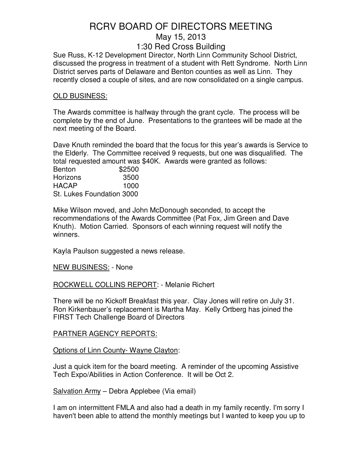Sue Russ, K-12 Development Director, North Linn Community School District, discussed the progress in treatment of a student with Rett Syndrome. North Linn District serves parts of Delaware and Benton counties as well as Linn. They recently closed a couple of sites, and are now consolidated on a single campus.

#### OLD BUSINESS:

The Awards committee is halfway through the grant cycle. The process will be complete by the end of June. Presentations to the grantees will be made at the next meeting of the Board.

Dave Knuth reminded the board that the focus for this year's awards is Service to the Elderly. The Committee received 9 requests, but one was disqualified. The total requested amount was \$40K. Awards were granted as follows:

| <b>Benton</b>             | \$2500 |
|---------------------------|--------|
| Horizons                  | 3500   |
| <b>HACAP</b>              | 1000   |
| St. Lukes Foundation 3000 |        |

Mike Wilson moved, and John McDonough seconded, to accept the recommendations of the Awards Committee (Pat Fox, Jim Green and Dave Knuth). Motion Carried. Sponsors of each winning request will notify the winners.

Kayla Paulson suggested a news release.

NEW BUSINESS: - None

ROCKWELL COLLINS REPORT: - Melanie Richert

There will be no Kickoff Breakfast this year. Clay Jones will retire on July 31. Ron Kirkenbauer's replacement is Martha May. Kelly Ortberg has joined the FIRST Tech Challenge Board of Directors

#### PARTNER AGENCY REPORTS:

Options of Linn County- Wayne Clayton:

Just a quick item for the board meeting. A reminder of the upcoming Assistive Tech Expo/Abilities in Action Conference. It will be Oct 2.

Salvation Army – Debra Applebee (Via email)

I am on intermittent FMLA and also had a death in my family recently. I'm sorry I haven't been able to attend the monthly meetings but I wanted to keep you up to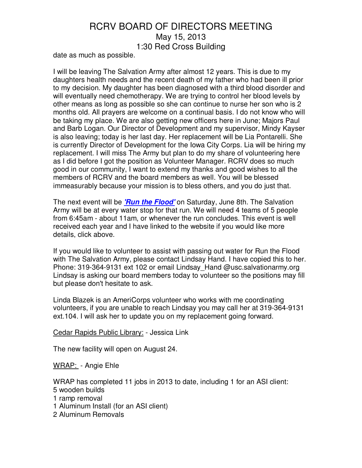date as much as possible.

I will be leaving The Salvation Army after almost 12 years. This is due to my daughters health needs and the recent death of my father who had been ill prior to my decision. My daughter has been diagnosed with a third blood disorder and will eventually need chemotherapy. We are trying to control her blood levels by other means as long as possible so she can continue to nurse her son who is 2 months old. All prayers are welcome on a continual basis. I do not know who will be taking my place. We are also getting new officers here in June; Majors Paul and Barb Logan. Our Director of Development and my supervisor, Mindy Kayser is also leaving; today is her last day. Her replacement will be Lia Pontarelli. She is currently Director of Development for the Iowa City Corps. Lia will be hiring my replacement. I will miss The Army but plan to do my share of volunteering here as I did before I got the position as Volunteer Manager. RCRV does so much good in our community, I want to extend my thanks and good wishes to all the members of RCRV and the board members as well. You will be blessed immeasurably because your mission is to bless others, and you do just that.

The next event will be **'Run the Flood'** on Saturday, June 8th. The Salvation Army will be at every water stop for that run. We will need 4 teams of 5 people from 6:45am - about 11am, or whenever the run concludes. This event is well received each year and I have linked to the website if you would like more details, click above.

If you would like to volunteer to assist with passing out water for Run the Flood with The Salvation Army, please contact Lindsay Hand. I have copied this to her. Phone: 319-364-9131 ext 102 or email Lindsay Hand @usc.salvationarmy.org Lindsay is asking our board members today to volunteer so the positions may fill but please don't hesitate to ask.

Linda Blazek is an AmeriCorps volunteer who works with me coordinating volunteers, if you are unable to reach Lindsay you may call her at 319-364-9131 ext.104. I will ask her to update you on my replacement going forward.

#### Cedar Rapids Public Library: - Jessica Link

The new facility will open on August 24.

WRAP: - Angie Ehle

WRAP has completed 11 jobs in 2013 to date, including 1 for an ASI client: 5 wooden builds

1 ramp removal

1 Aluminum Install (for an ASI client)

2 Aluminum Removals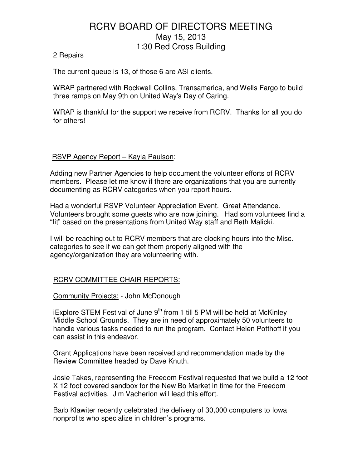#### 2 Repairs

The current queue is 13, of those 6 are ASI clients.

WRAP partnered with Rockwell Collins, Transamerica, and Wells Fargo to build three ramps on May 9th on United Way's Day of Caring.

WRAP is thankful for the support we receive from RCRV. Thanks for all you do for others!

#### RSVP Agency Report – Kayla Paulson:

Adding new Partner Agencies to help document the volunteer efforts of RCRV members. Please let me know if there are organizations that you are currently documenting as RCRV categories when you report hours.

Had a wonderful RSVP Volunteer Appreciation Event. Great Attendance. Volunteers brought some guests who are now joining. Had som voluntees find a "fit" based on the presentations from United Way staff and Beth Malicki.

I will be reaching out to RCRV members that are clocking hours into the Misc. categories to see if we can get them properly aligned with the agency/organization they are volunteering with.

#### RCRV COMMITTEE CHAIR REPORTS:

#### Community Projects: - John McDonough

iExplore STEM Festival of June  $9<sup>th</sup>$  from 1 till 5 PM will be held at McKinley Middle School Grounds. They are in need of approximately 50 volunteers to handle various tasks needed to run the program. Contact Helen Potthoff if you can assist in this endeavor.

Grant Applications have been received and recommendation made by the Review Committee headed by Dave Knuth.

Josie Takes, representing the Freedom Festival requested that we build a 12 foot X 12 foot covered sandbox for the New Bo Market in time for the Freedom Festival activities. Jim Vacherlon will lead this effort.

Barb Klawiter recently celebrated the delivery of 30,000 computers to Iowa nonprofits who specialize in children's programs.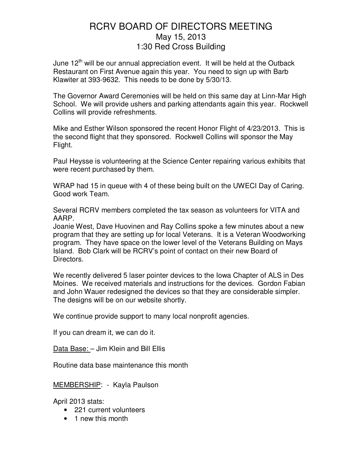June  $12<sup>th</sup>$  will be our annual appreciation event. It will be held at the Outback Restaurant on First Avenue again this year. You need to sign up with Barb Klawiter at 393-9632. This needs to be done by 5/30/13.

The Governor Award Ceremonies will be held on this same day at Linn-Mar High School. We will provide ushers and parking attendants again this year. Rockwell Collins will provide refreshments.

Mike and Esther Wilson sponsored the recent Honor Flight of 4/23/2013. This is the second flight that they sponsored. Rockwell Collins will sponsor the May Flight.

Paul Heysse is volunteering at the Science Center repairing various exhibits that were recent purchased by them.

WRAP had 15 in queue with 4 of these being built on the UWECI Day of Caring. Good work Team.

Several RCRV members completed the tax season as volunteers for VITA and AARP.

Joanie West, Dave Huovinen and Ray Collins spoke a few minutes about a new program that they are setting up for local Veterans. It is a Veteran Woodworking program. They have space on the lower level of the Veterans Building on Mays Island. Bob Clark will be RCRV's point of contact on their new Board of Directors.

We recently delivered 5 laser pointer devices to the Iowa Chapter of ALS in Des Moines. We received materials and instructions for the devices. Gordon Fabian and John Wauer redesigned the devices so that they are considerable simpler. The designs will be on our website shortly.

We continue provide support to many local nonprofit agencies.

If you can dream it, we can do it.

Data Base: – Jim Klein and Bill Ellis

Routine data base maintenance this month

MEMBERSHIP: - Kayla Paulson

April 2013 stats:

- 221 current volunteers
- 1 new this month